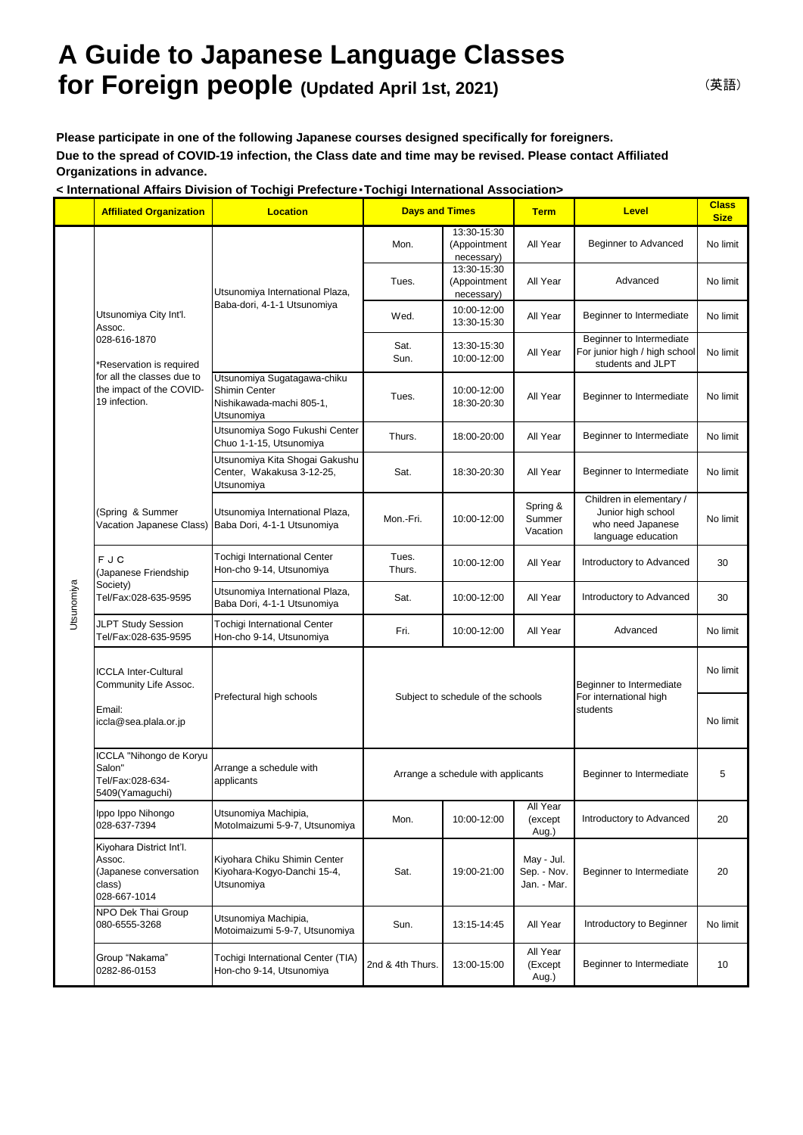## **A Guide to Japanese Language Classes for Foreign people (Updated April 1st, 2021)**

**Please participate in one of the following Japanese courses designed specifically for foreigners. Due to the spread of COVID-19 infection, the Class date and time may be revised. Please contact Affiliated Organizations in advance.**

**< International Affairs Division of Tochigi Prefecture**・**Tochigi International Association>**

|            | <b>Affiliated Organization</b>                                                                                                                          | <b>Location</b>                                                                               | <b>Days and Times</b>              |                                           | <b>Term</b>                              | <b>Level</b>                                                                              | <b>Class</b><br><b>Size</b> |
|------------|---------------------------------------------------------------------------------------------------------------------------------------------------------|-----------------------------------------------------------------------------------------------|------------------------------------|-------------------------------------------|------------------------------------------|-------------------------------------------------------------------------------------------|-----------------------------|
| Utsunomiya | Utsunomiya City Int'l.<br>Assoc.<br>028-616-1870<br>*Reservation is required<br>for all the classes due to<br>the impact of the COVID-<br>19 infection. | Utsunomiya International Plaza,<br>Baba-dori, 4-1-1 Utsunomiya                                | Mon.                               | 13:30-15:30<br>(Appointment<br>necessary) | All Year                                 | Beginner to Advanced                                                                      | No limit                    |
|            |                                                                                                                                                         |                                                                                               | Tues.                              | 13:30-15:30<br>(Appointment<br>necessary) | All Year                                 | Advanced                                                                                  | No limit                    |
|            |                                                                                                                                                         |                                                                                               | Wed.                               | 10:00-12:00<br>13:30-15:30                | All Year                                 | Beginner to Intermediate                                                                  | No limit                    |
|            |                                                                                                                                                         |                                                                                               | Sat.<br>Sun.                       | 13:30-15:30<br>10:00-12:00                | All Year                                 | Beginner to Intermediate<br>For junior high / high school<br>students and JLPT            | No limit                    |
|            |                                                                                                                                                         | Utsunomiya Sugatagawa-chiku<br><b>Shimin Center</b><br>Nishikawada-machi 805-1,<br>Utsunomiya | Tues.                              | 10:00-12:00<br>18:30-20:30                | All Year                                 | Beginner to Intermediate                                                                  | No limit                    |
|            |                                                                                                                                                         | Utsunomiya Sogo Fukushi Center<br>Chuo 1-1-15, Utsunomiya                                     | Thurs.                             | 18:00-20:00                               | All Year                                 | Beginner to Intermediate                                                                  | No limit                    |
|            |                                                                                                                                                         | Utsunomiya Kita Shogai Gakushu<br>Center, Wakakusa 3-12-25,<br>Utsunomiya                     | Sat.                               | 18:30-20:30                               | All Year                                 | Beginner to Intermediate                                                                  | No limit                    |
|            | (Spring & Summer<br>Vacation Japanese Class)                                                                                                            | Utsunomiya International Plaza,<br>Baba Dori, 4-1-1 Utsunomiya                                | Mon.-Fri.                          | 10:00-12:00                               | Spring &<br>Summer<br>Vacation           | Children in elementary /<br>Junior high school<br>who need Japanese<br>language education | No limit                    |
|            | FJC<br>Japanese Friendship<br>Society)<br>Tel/Fax:028-635-9595                                                                                          | <b>Tochigi International Center</b><br>Hon-cho 9-14, Utsunomiya                               | Tues.<br>Thurs.                    | 10:00-12:00                               | All Year                                 | Introductory to Advanced                                                                  | 30                          |
|            |                                                                                                                                                         | Utsunomiya International Plaza,<br>Baba Dori, 4-1-1 Utsunomiya                                | Sat.                               | 10:00-12:00                               | All Year                                 | Introductory to Advanced                                                                  | 30                          |
|            | <b>JLPT Study Session</b><br>Tel/Fax:028-635-9595                                                                                                       | <b>Tochigi International Center</b><br>Hon-cho 9-14, Utsunomiya                               | Fri.                               | 10:00-12:00                               | All Year                                 | Advanced                                                                                  | No limit                    |
|            | ICCLA Inter-Cultural<br>Community Life Assoc.                                                                                                           |                                                                                               |                                    |                                           |                                          | Beginner to Intermediate                                                                  | No limit                    |
|            | Email:<br>iccla@sea.plala.or.jp                                                                                                                         | Prefectural high schools                                                                      |                                    | Subject to schedule of the schools        |                                          | For international high<br>students                                                        | No limit                    |
|            | ICCLA "Nihongo de Koryu<br>Salon"<br>Tel/Fax:028-634-<br>5409(Yamaguchi)                                                                                | Arrange a schedule with<br>applicants                                                         | Arrange a schedule with applicants |                                           |                                          | Beginner to Intermediate                                                                  | 5                           |
|            | Ippo Ippo Nihongo<br>028-637-7394                                                                                                                       | Utsunomiya Machipia,<br>Motolmaizumi 5-9-7, Utsunomiya                                        | Mon.                               | 10:00-12:00                               | All Year<br>(except<br>Aug.)             | Introductory to Advanced                                                                  | 20                          |
|            | Kiyohara District Int'l.<br>Assoc.<br>(Japanese conversation<br>class)<br>028-667-1014                                                                  | Kiyohara Chiku Shimin Center<br>Kiyohara-Kogyo-Danchi 15-4,<br>Utsunomiya                     | Sat.                               | 19:00-21:00                               | May - Jul.<br>Sep. - Nov.<br>Jan. - Mar. | Beginner to Intermediate                                                                  | 20                          |
|            | NPO Dek Thai Group<br>080-6555-3268                                                                                                                     | Utsunomiya Machipia,<br>Motoimaizumi 5-9-7, Utsunomiya                                        | Sun.                               | 13:15-14:45                               | All Year                                 | Introductory to Beginner                                                                  | No limit                    |
|            | Group "Nakama"<br>0282-86-0153                                                                                                                          | Tochigi International Center (TIA)<br>Hon-cho 9-14, Utsunomiya                                | 2nd & 4th Thurs.                   | 13:00-15:00                               | All Year<br>(Except<br>Aug.)             | Beginner to Intermediate                                                                  | 10                          |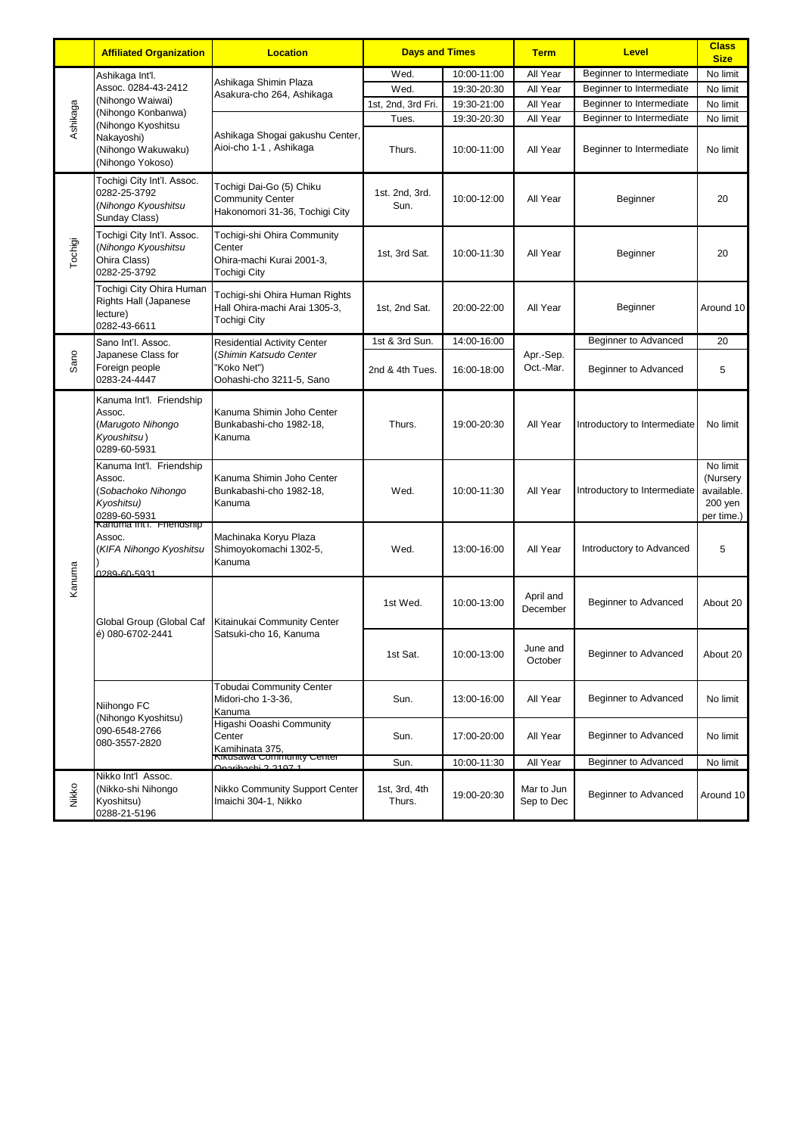|          | <b>Affiliated Organization</b>                                                                                                                                 | <b>Location</b>                                                                                         | <b>Days and Times</b>   |             | <b>Term</b>              | <b>Level</b>                 | <b>Class</b><br><b>Size</b>                                   |
|----------|----------------------------------------------------------------------------------------------------------------------------------------------------------------|---------------------------------------------------------------------------------------------------------|-------------------------|-------------|--------------------------|------------------------------|---------------------------------------------------------------|
| Ashikaga | Ashikaga Int'l.<br>Assoc. 0284-43-2412<br>(Nihongo Waiwai)<br>(Nihongo Konbanwa)<br>(Nihongo Kyoshitsu<br>Nakayoshi)<br>(Nihongo Wakuwaku)<br>(Nihongo Yokoso) | Ashikaga Shimin Plaza<br>Asakura-cho 264, Ashikaga                                                      | Wed.                    | 10:00-11:00 | All Year                 | Beginner to Intermediate     | No limit                                                      |
|          |                                                                                                                                                                |                                                                                                         | Wed.                    | 19:30-20:30 | All Year                 | Beginner to Intermediate     | No limit                                                      |
|          |                                                                                                                                                                |                                                                                                         | 1st, 2nd, 3rd Fri.      | 19:30-21:00 | All Year                 | Beginner to Intermediate     | No limit                                                      |
|          |                                                                                                                                                                | Ashikaga Shogai gakushu Center,<br>Aioi-cho 1-1, Ashikaga                                               | Tues.                   | 19:30-20:30 | All Year                 | Beginner to Intermediate     | No limit                                                      |
|          |                                                                                                                                                                |                                                                                                         | Thurs.                  | 10:00-11:00 | All Year                 | Beginner to Intermediate     | No limit                                                      |
| Tochigi  | Tochigi City Int'l. Assoc.<br>0282-25-3792<br>(Nihongo Kyoushitsu<br>Sunday Class)                                                                             | Tochigi Dai-Go (5) Chiku<br><b>Community Center</b><br>Hakonomori 31-36, Tochigi City                   | 1st. 2nd, 3rd.<br>Sun.  | 10:00-12:00 | All Year                 | Beginner                     | 20                                                            |
|          | Tochigi City Int'l. Assoc.<br>(Nihongo Kyoushitsu<br>Ohira Class)<br>0282-25-3792                                                                              | Tochigi-shi Ohira Community<br>Center<br>Ohira-machi Kurai 2001-3,<br><b>Tochigi City</b>               | 1st, 3rd Sat.           | 10:00-11:30 | All Year                 | Beginner                     | 20                                                            |
|          | Tochigi City Ohira Human<br><b>Rights Hall (Japanese</b><br>lecture)<br>0282-43-6611                                                                           | Tochigi-shi Ohira Human Rights<br>Hall Ohira-machi Arai 1305-3,<br><b>Tochigi City</b>                  | 1st, 2nd Sat.           | 20:00-22:00 | All Year                 | Beginner                     | Around 10                                                     |
|          | Sano Int'l. Assoc.                                                                                                                                             | <b>Residential Activity Center</b><br>(Shimin Katsudo Center<br>'Koko Net")<br>Oohashi-cho 3211-5, Sano | 1st & 3rd Sun.          | 14:00-16:00 | Apr.-Sep.<br>Oct.-Mar.   | Beginner to Advanced         | 20                                                            |
| Sano     | Japanese Class for<br>Foreign people<br>0283-24-4447                                                                                                           |                                                                                                         | 2nd & 4th Tues.         | 16:00-18:00 |                          | Beginner to Advanced         | 5                                                             |
|          | Kanuma Int'l. Friendship<br>Assoc.<br>(Marugoto Nihongo<br>Kyoushitsu)<br>0289-60-5931                                                                         | Kanuma Shimin Joho Center<br>Bunkabashi-cho 1982-18,<br>Kanuma                                          | Thurs.                  | 19:00-20:30 | All Year                 | Introductory to Intermediate | No limit                                                      |
|          | Kanuma Int'l. Friendship<br>Assoc.<br>Sobachoko Nihongo<br>Kyoshitsu)<br>0289-60-5931                                                                          | Kanuma Shimin Joho Center<br>Bunkabashi-cho 1982-18,<br>Kanuma                                          | Wed.                    | 10:00-11:30 | All Year                 | Introductory to Intermediate | No limit<br>(Nursery<br>available.<br>$200$ yen<br>per time.) |
|          | Kanuma inti. Friendsnip<br>Assoc.<br>(KIFA Nihongo Kyoshitsu<br>0289-60-5931                                                                                   | Machinaka Koryu Plaza<br>Shimoyokomachi 1302-5,<br>Kanuma                                               | Wed.                    | 13:00-16:00 | All Year                 | Introductory to Advanced     | 5                                                             |
| Kanuma   | Global Group (Global Caf<br>é) 080-6702-2441                                                                                                                   | Kitainukai Community Center<br>Satsuki-cho 16, Kanuma                                                   | 1st Wed.                | 10:00-13:00 | April and<br>December    | Beginner to Advanced         | About 20                                                      |
|          |                                                                                                                                                                |                                                                                                         | 1st Sat.                | 10:00-13:00 | June and<br>October      | Beginner to Advanced         | About 20                                                      |
|          | Niihongo FC<br>(Nihongo Kyoshitsu)<br>090-6548-2766<br>080-3557-2820                                                                                           | <b>Tobudai Community Center</b><br>Midori-cho 1-3-36,<br>Kanuma                                         | Sun.                    | 13:00-16:00 | All Year                 | Beginner to Advanced         | No limit                                                      |
|          |                                                                                                                                                                | Higashi Ooashi Community<br>Center<br>Kamihinata 375,<br>Kikusawa Community Center                      | Sun.                    | 17:00-20:00 | All Year                 | Beginner to Advanced         | No limit                                                      |
|          |                                                                                                                                                                | riboobi 2.2107.1                                                                                        | Sun.                    | 10:00-11:30 | All Year                 | Beginner to Advanced         | No limit                                                      |
| Nikko    | Nikko Int'l Assoc.<br>(Nikko-shi Nihongo<br>Kyoshitsu)<br>0288-21-5196                                                                                         | Nikko Community Support Center<br>Imaichi 304-1, Nikko                                                  | 1st, 3rd, 4th<br>Thurs. | 19:00-20:30 | Mar to Jun<br>Sep to Dec | Beginner to Advanced         | Around 10                                                     |